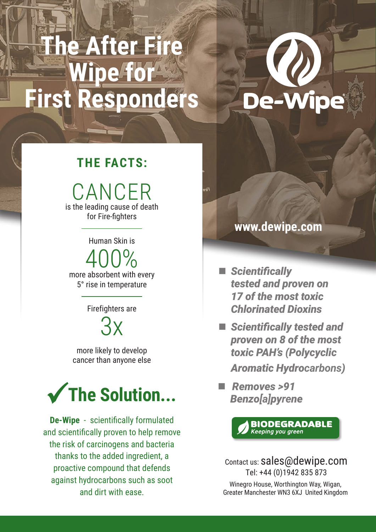# **The After Fire Wipe for First Responders**



### **THE FACTS:**

CANCER is the leading cause of death for Fire-fighters

Human Skin is

400% more absorbent with every 5° rise in temperature

Firefighters are

 $3x$ 

more likely to develop cancer than anyone else



**De-Wipe** - scientifically formulated and scientifically proven to help remove the risk of carcinogens and bacteria thanks to the added ingredient, a proactive compound that defends against hydrocarbons such as soot and dirt with ease.

#### **www.dewipe.com**

nR

- *Scientifically tested and proven on 17 of the most toxic Chlorinated Dioxins*
- *Scientifically tested and proven on 8 of the most toxic PAH's (Polycyclic Aromatic Hydrocarbons)*
- *Removes >91 Benzo[a]pyrene*

**BIODEGRADABLE** Keeping you green

Contact us: sales@dewipe.com Tel: +44 (0)1942 835 873

Winegro House, Worthington Way, Wigan, Greater Manchester WN3 6XJ United Kingdom